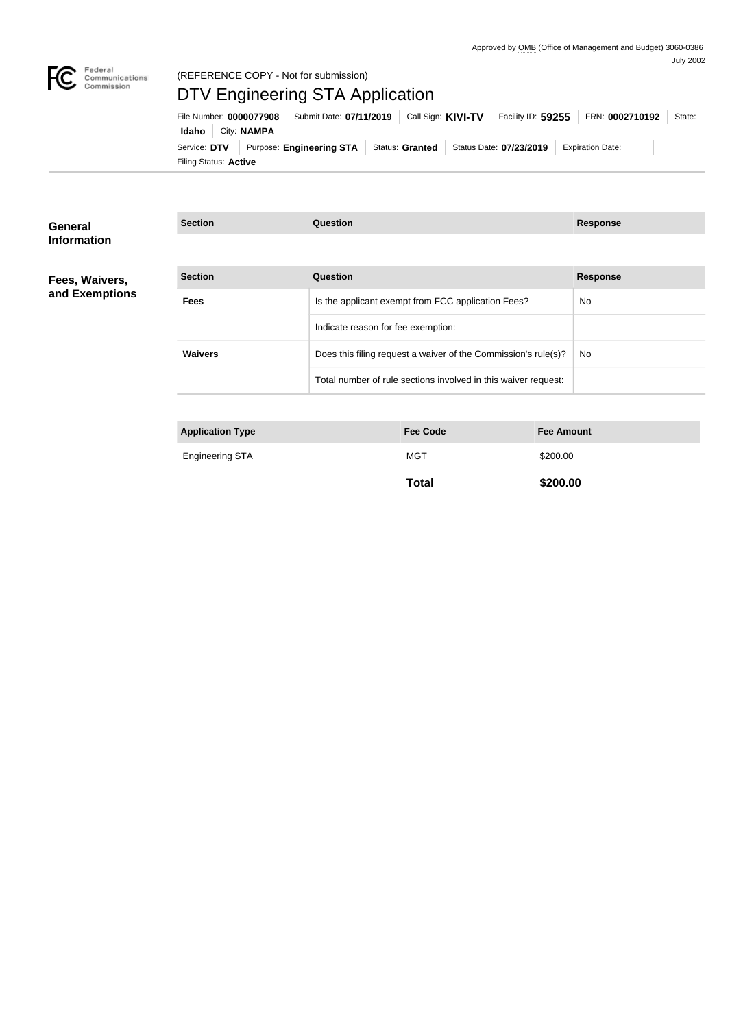

## Federal<br>Communications<br>Commission (REFERENCE COPY - Not for submission)

# DTV Engineering STA Application

Filing Status: **Active** Service: DTV Purpose: Engineering STA Status: Granted Status Date: 07/23/2019 Expiration Date: **Idaho** City: **NAMPA** File Number: **0000077908** Submit Date: 07/11/2019 Call Sign: KIVI-TV Facility ID: 59255 FRN: 0002710192 State:

| General<br><b>Information</b> | <b>Section</b>          | Question                                                       | <b>Response</b> |
|-------------------------------|-------------------------|----------------------------------------------------------------|-----------------|
| Fees, Waivers,                | <b>Section</b>          | <b>Question</b>                                                | <b>Response</b> |
| and Exemptions                | <b>Fees</b>             | Is the applicant exempt from FCC application Fees?             | No              |
|                               |                         | Indicate reason for fee exemption:                             |                 |
|                               | <b>Waivers</b>          | Does this filing request a waiver of the Commission's rule(s)? | No              |
|                               |                         | Total number of rule sections involved in this waiver request: |                 |
|                               |                         |                                                                |                 |
|                               | <b>Application Type</b> | <b>Fee Amount</b><br><b>Fee Code</b>                           |                 |

| <b>Engineering STA</b> | MG <sup>-</sup> | \$200.00 |  |
|------------------------|-----------------|----------|--|
|                        |                 |          |  |

**Total \$200.00**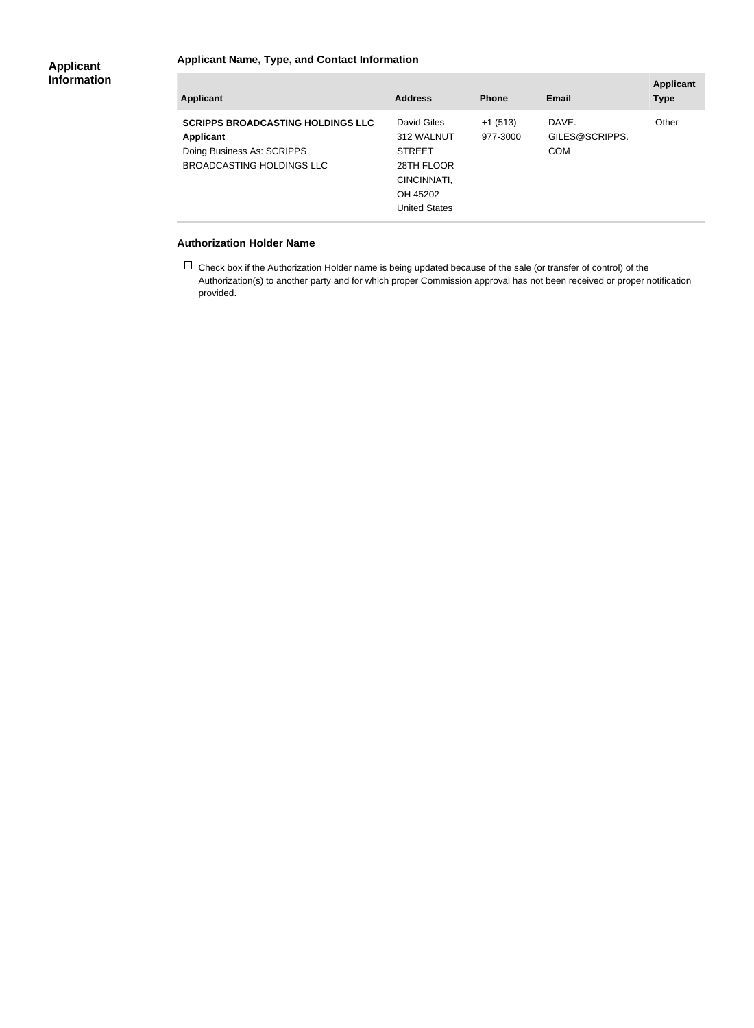## **Applicant Name, Type, and Contact Information**

| <b>Applicant</b>                                                                                                        | <b>Address</b>                                                                                              | <b>Phone</b>          | <b>Email</b>                          | <b>Applicant</b><br><b>Type</b> |
|-------------------------------------------------------------------------------------------------------------------------|-------------------------------------------------------------------------------------------------------------|-----------------------|---------------------------------------|---------------------------------|
| <b>SCRIPPS BROADCASTING HOLDINGS LLC</b><br><b>Applicant</b><br>Doing Business As: SCRIPPS<br>BROADCASTING HOLDINGS LLC | David Giles<br>312 WALNUT<br><b>STREET</b><br>28TH FLOOR<br>CINCINNATI,<br>OH 45202<br><b>United States</b> | $+1(513)$<br>977-3000 | DAVE.<br>GILES@SCRIPPS.<br><b>COM</b> | Other                           |

#### **Authorization Holder Name**

 $\Box$  Check box if the Authorization Holder name is being updated because of the sale (or transfer of control) of the Authorization(s) to another party and for which proper Commission approval has not been received or proper notification provided.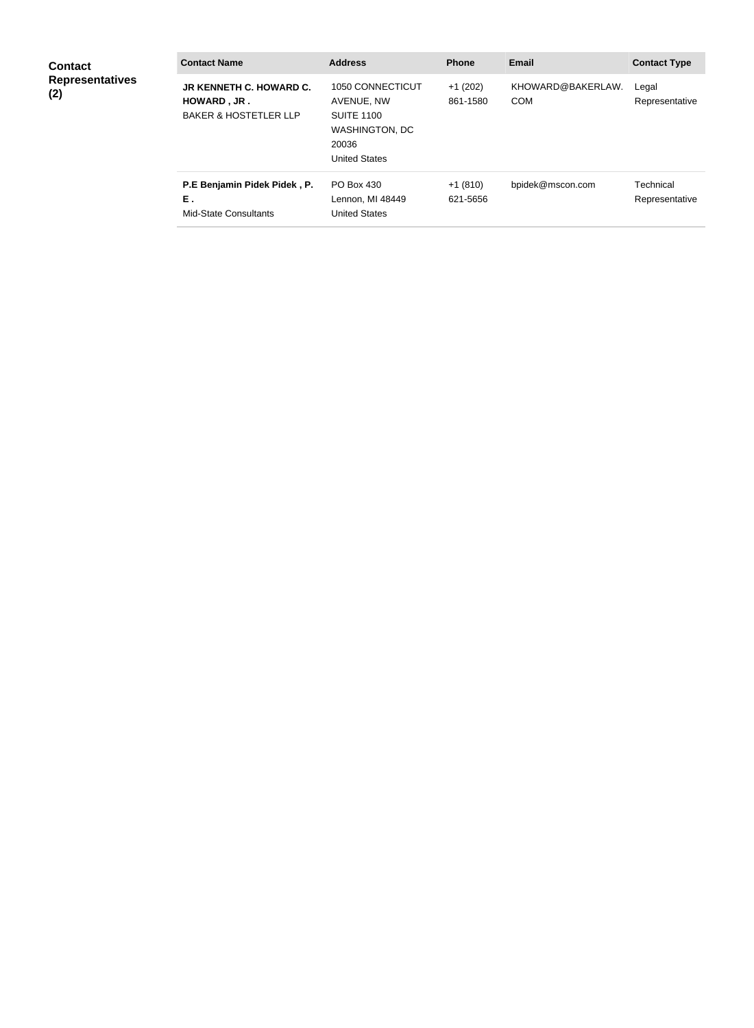| <b>Contact</b><br><b>Representatives</b><br>(2) | <b>Contact Name</b>                                                               | <b>Address</b>                                                                                         | <b>Phone</b>          | <b>Email</b>                    | <b>Contact Type</b>         |
|-------------------------------------------------|-----------------------------------------------------------------------------------|--------------------------------------------------------------------------------------------------------|-----------------------|---------------------------------|-----------------------------|
|                                                 | <b>JR KENNETH C. HOWARD C.</b><br>HOWARD, JR.<br><b>BAKER &amp; HOSTETLER LLP</b> | 1050 CONNECTICUT<br>AVENUE, NW<br><b>SUITE 1100</b><br>WASHINGTON, DC<br>20036<br><b>United States</b> | $+1(202)$<br>861-1580 | KHOWARD@BAKERLAW.<br><b>COM</b> | Legal<br>Representative     |
|                                                 | P.E Benjamin Pidek Pidek, P.<br>Ε.<br><b>Mid-State Consultants</b>                | PO Box 430<br>Lennon, MI 48449<br><b>United States</b>                                                 | $+1(810)$<br>621-5656 | bpidek@mscon.com                | Technical<br>Representative |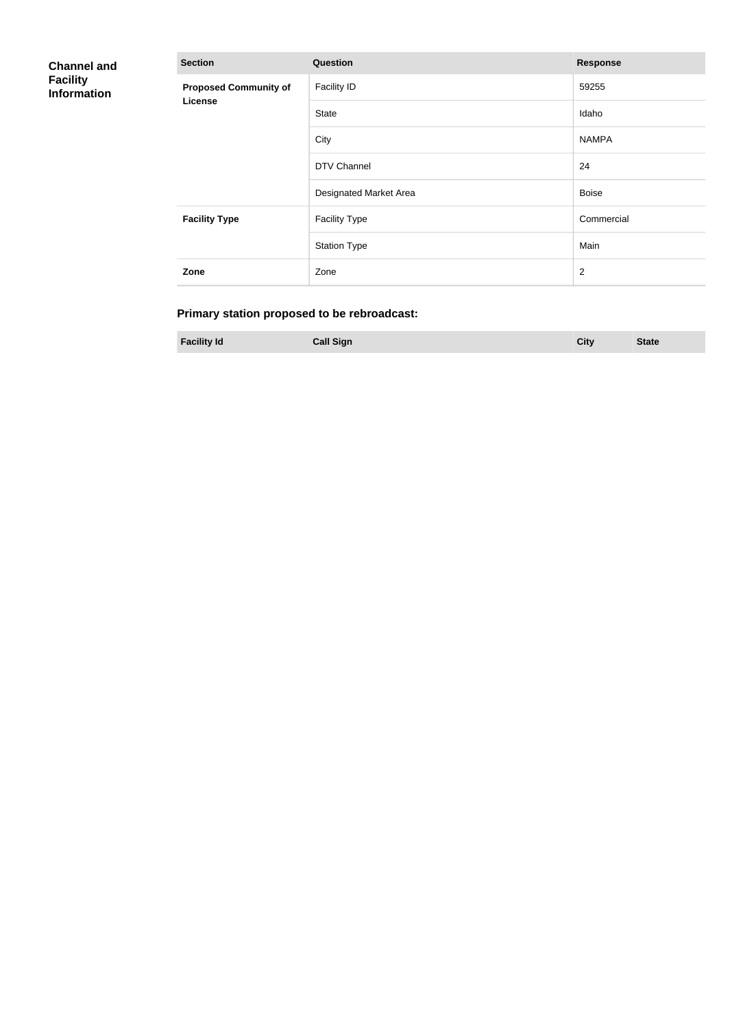| <b>Channel and</b><br><b>Facility</b><br><b>Information</b> | <b>Section</b>                          | <b>Response</b>        |                |
|-------------------------------------------------------------|-----------------------------------------|------------------------|----------------|
|                                                             | <b>Proposed Community of</b><br>License | <b>Facility ID</b>     | 59255          |
|                                                             |                                         | State                  | Idaho          |
|                                                             |                                         | City                   | <b>NAMPA</b>   |
|                                                             |                                         | DTV Channel            | 24             |
|                                                             |                                         | Designated Market Area | <b>Boise</b>   |
|                                                             | <b>Facility Type</b>                    | <b>Facility Type</b>   | Commercial     |
|                                                             |                                         | <b>Station Type</b>    | Main           |
|                                                             | Zone                                    | Zone                   | $\overline{2}$ |

# **Primary station proposed to be rebroadcast:**

**Facility Id Call Sign City State**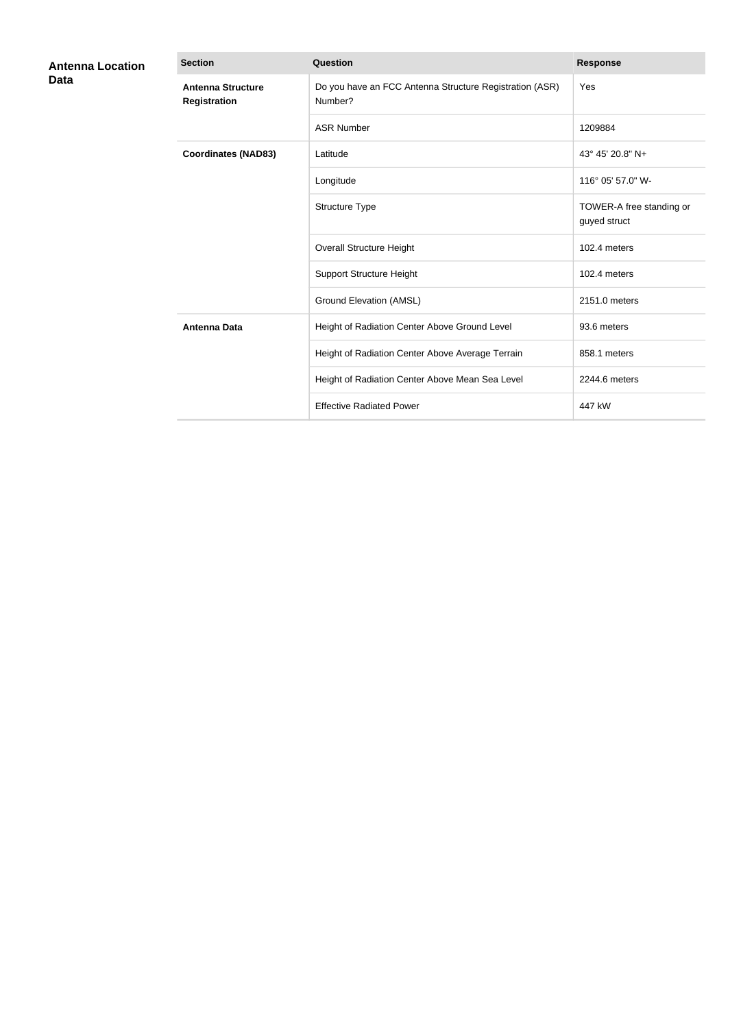| <b>Antenna Location</b><br>Data | <b>Section</b>                                  | <b>Question</b>                                                    | <b>Response</b>                          |
|---------------------------------|-------------------------------------------------|--------------------------------------------------------------------|------------------------------------------|
|                                 | <b>Antenna Structure</b><br><b>Registration</b> | Do you have an FCC Antenna Structure Registration (ASR)<br>Number? | Yes                                      |
|                                 |                                                 | <b>ASR Number</b>                                                  | 1209884                                  |
|                                 | <b>Coordinates (NAD83)</b>                      | Latitude                                                           | 43° 45' 20.8" N+                         |
|                                 |                                                 | Longitude                                                          | 116° 05' 57.0" W-                        |
|                                 |                                                 | Structure Type                                                     | TOWER-A free standing or<br>guyed struct |
|                                 |                                                 | <b>Overall Structure Height</b>                                    | 102.4 meters                             |
|                                 |                                                 | <b>Support Structure Height</b>                                    | 102.4 meters                             |
|                                 |                                                 | <b>Ground Elevation (AMSL)</b>                                     | 2151.0 meters                            |
|                                 | <b>Antenna Data</b>                             | Height of Radiation Center Above Ground Level                      | 93.6 meters                              |
|                                 |                                                 | Height of Radiation Center Above Average Terrain                   | 858.1 meters                             |
|                                 |                                                 | Height of Radiation Center Above Mean Sea Level                    | 2244.6 meters                            |
|                                 |                                                 | <b>Effective Radiated Power</b>                                    | 447 kW                                   |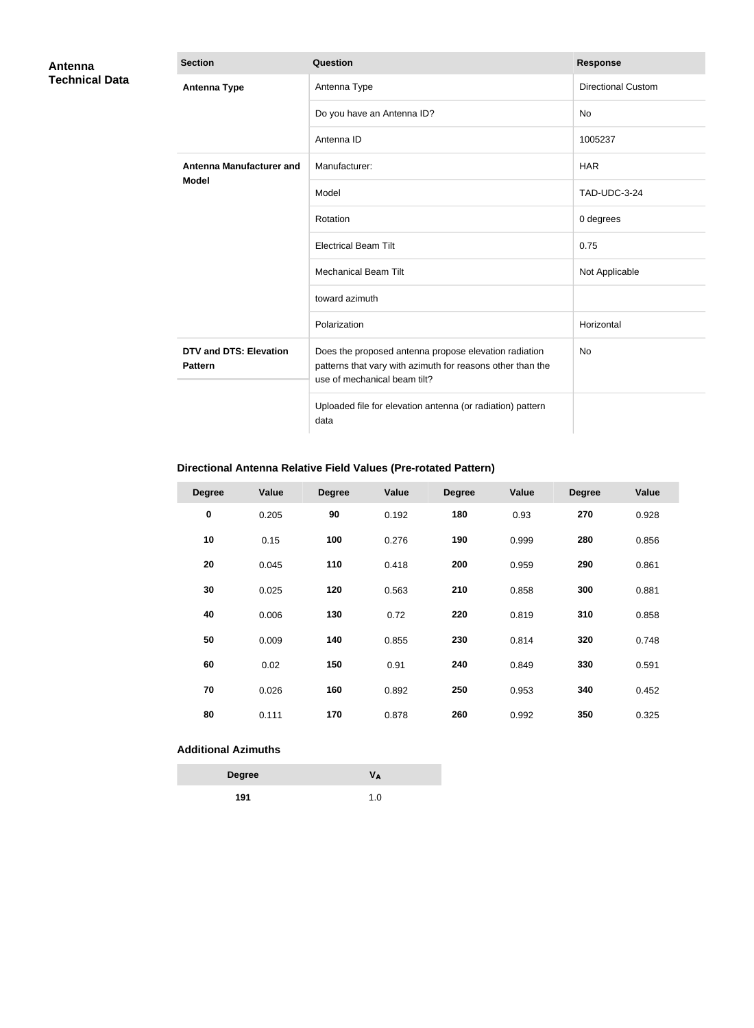| Antenna<br><b>Technical Data</b> | <b>Section</b>                                  | <b>Question</b>                                                                                                                                     | <b>Response</b>           |
|----------------------------------|-------------------------------------------------|-----------------------------------------------------------------------------------------------------------------------------------------------------|---------------------------|
|                                  | <b>Antenna Type</b>                             | Antenna Type                                                                                                                                        | <b>Directional Custom</b> |
|                                  |                                                 | Do you have an Antenna ID?                                                                                                                          | No                        |
|                                  |                                                 | Antenna ID                                                                                                                                          | 1005237                   |
|                                  | <b>Antenna Manufacturer and</b>                 | Manufacturer:                                                                                                                                       | <b>HAR</b>                |
|                                  | <b>Model</b>                                    | Model                                                                                                                                               | <b>TAD-UDC-3-24</b>       |
|                                  |                                                 | Rotation                                                                                                                                            | 0 degrees                 |
|                                  |                                                 | <b>Electrical Beam Tilt</b>                                                                                                                         | 0.75                      |
|                                  |                                                 | <b>Mechanical Beam Tilt</b>                                                                                                                         | Not Applicable            |
|                                  |                                                 | toward azimuth                                                                                                                                      |                           |
|                                  |                                                 | Polarization                                                                                                                                        | Horizontal                |
|                                  | <b>DTV and DTS: Elevation</b><br><b>Pattern</b> | Does the proposed antenna propose elevation radiation<br>patterns that vary with azimuth for reasons other than the<br>use of mechanical beam tilt? | No                        |
|                                  |                                                 | Uploaded file for elevation antenna (or radiation) pattern<br>data                                                                                  |                           |

# **Directional Antenna Relative Field Values (Pre-rotated Pattern)**

| <b>Degree</b> | Value | <b>Degree</b> | Value | <b>Degree</b> | Value | <b>Degree</b> | <b>Value</b> |
|---------------|-------|---------------|-------|---------------|-------|---------------|--------------|
| $\pmb{0}$     | 0.205 | 90            | 0.192 | 180           | 0.93  | 270           | 0.928        |
| 10            | 0.15  | 100           | 0.276 | 190           | 0.999 | 280           | 0.856        |
| 20            | 0.045 | 110           | 0.418 | 200           | 0.959 | 290           | 0.861        |
| 30            | 0.025 | 120           | 0.563 | 210           | 0.858 | 300           | 0.881        |
| 40            | 0.006 | 130           | 0.72  | 220           | 0.819 | 310           | 0.858        |
| 50            | 0.009 | 140           | 0.855 | 230           | 0.814 | 320           | 0.748        |
| 60            | 0.02  | 150           | 0.91  | 240           | 0.849 | 330           | 0.591        |
| 70            | 0.026 | 160           | 0.892 | 250           | 0.953 | 340           | 0.452        |
| 80            | 0.111 | 170           | 0.878 | 260           | 0.992 | 350           | 0.325        |

## **Additional Azimuths**

| <b>Degree</b> | V <sub>A</sub> |
|---------------|----------------|
| 191           | 1.0            |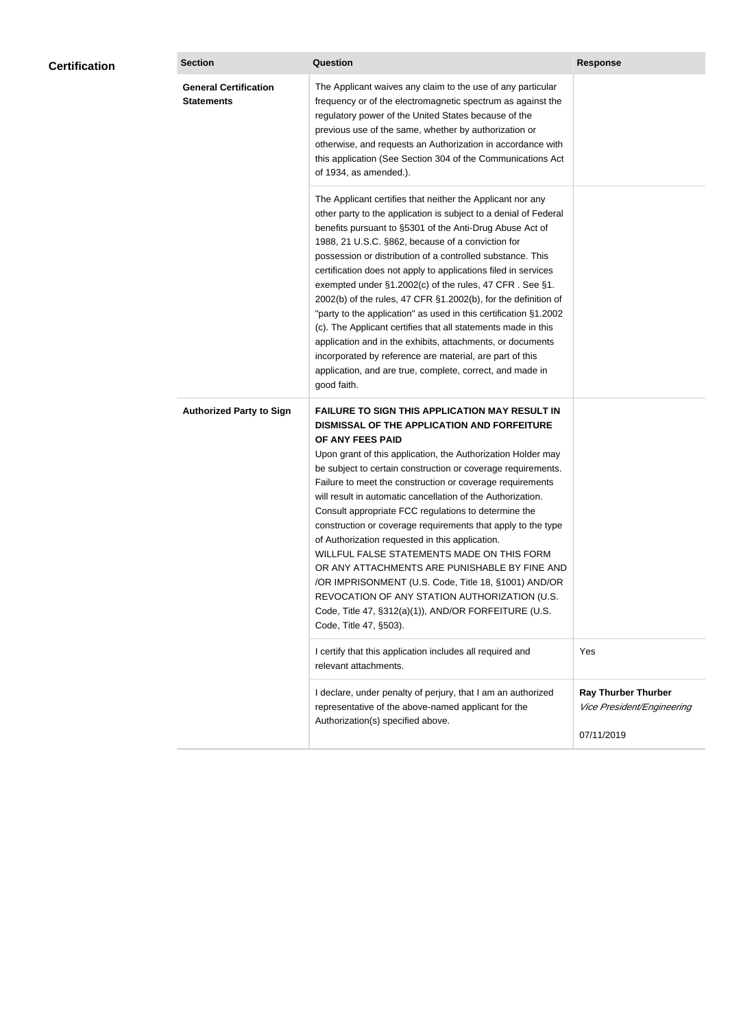| <b>Certification</b> | <b>Section</b>                                    | <b>Question</b>                                                                                                                                                                                                                                                                                                                                                                                                                                                                                                                                                                                                                                                                                                                                                                                                                                           | <b>Response</b>                                                        |
|----------------------|---------------------------------------------------|-----------------------------------------------------------------------------------------------------------------------------------------------------------------------------------------------------------------------------------------------------------------------------------------------------------------------------------------------------------------------------------------------------------------------------------------------------------------------------------------------------------------------------------------------------------------------------------------------------------------------------------------------------------------------------------------------------------------------------------------------------------------------------------------------------------------------------------------------------------|------------------------------------------------------------------------|
|                      | <b>General Certification</b><br><b>Statements</b> | The Applicant waives any claim to the use of any particular<br>frequency or of the electromagnetic spectrum as against the<br>regulatory power of the United States because of the<br>previous use of the same, whether by authorization or<br>otherwise, and requests an Authorization in accordance with<br>this application (See Section 304 of the Communications Act<br>of 1934, as amended.).                                                                                                                                                                                                                                                                                                                                                                                                                                                       |                                                                        |
|                      |                                                   | The Applicant certifies that neither the Applicant nor any<br>other party to the application is subject to a denial of Federal<br>benefits pursuant to §5301 of the Anti-Drug Abuse Act of<br>1988, 21 U.S.C. §862, because of a conviction for<br>possession or distribution of a controlled substance. This<br>certification does not apply to applications filed in services<br>exempted under §1.2002(c) of the rules, 47 CFR. See §1.<br>2002(b) of the rules, 47 CFR §1.2002(b), for the definition of<br>"party to the application" as used in this certification §1.2002<br>(c). The Applicant certifies that all statements made in this<br>application and in the exhibits, attachments, or documents<br>incorporated by reference are material, are part of this<br>application, and are true, complete, correct, and made in<br>good faith.   |                                                                        |
|                      | <b>Authorized Party to Sign</b>                   | <b>FAILURE TO SIGN THIS APPLICATION MAY RESULT IN</b><br>DISMISSAL OF THE APPLICATION AND FORFEITURE<br>OF ANY FEES PAID<br>Upon grant of this application, the Authorization Holder may<br>be subject to certain construction or coverage requirements.<br>Failure to meet the construction or coverage requirements<br>will result in automatic cancellation of the Authorization.<br>Consult appropriate FCC regulations to determine the<br>construction or coverage requirements that apply to the type<br>of Authorization requested in this application.<br>WILLFUL FALSE STATEMENTS MADE ON THIS FORM<br>OR ANY ATTACHMENTS ARE PUNISHABLE BY FINE AND<br>/OR IMPRISONMENT (U.S. Code, Title 18, §1001) AND/OR<br>REVOCATION OF ANY STATION AUTHORIZATION (U.S.<br>Code, Title 47, §312(a)(1)), AND/OR FORFEITURE (U.S.<br>Code, Title 47, §503). |                                                                        |
|                      |                                                   | I certify that this application includes all required and<br>relevant attachments.                                                                                                                                                                                                                                                                                                                                                                                                                                                                                                                                                                                                                                                                                                                                                                        | Yes                                                                    |
|                      |                                                   | I declare, under penalty of perjury, that I am an authorized<br>representative of the above-named applicant for the<br>Authorization(s) specified above.                                                                                                                                                                                                                                                                                                                                                                                                                                                                                                                                                                                                                                                                                                  | <b>Ray Thurber Thurber</b><br>Vice President/Engineering<br>07/11/2019 |